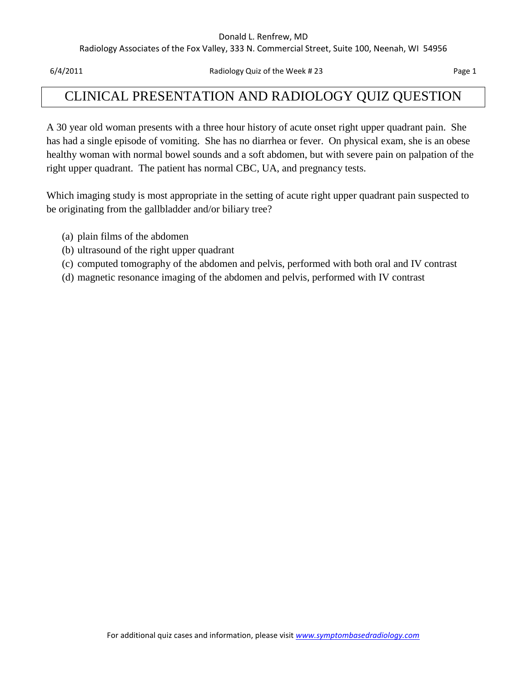#### Donald L. Renfrew, MD

Radiology Associates of the Fox Valley, 333 N. Commercial Street, Suite 100, Neenah, WI 54956

6/4/2011 Radiology Quiz of the Week # 23 Page 1

## CLINICAL PRESENTATION AND RADIOLOGY QUIZ QUESTION

A 30 year old woman presents with a three hour history of acute onset right upper quadrant pain. She has had a single episode of vomiting. She has no diarrhea or fever. On physical exam, she is an obese healthy woman with normal bowel sounds and a soft abdomen, but with severe pain on palpation of the right upper quadrant. The patient has normal CBC, UA, and pregnancy tests.

Which imaging study is most appropriate in the setting of acute right upper quadrant pain suspected to be originating from the gallbladder and/or biliary tree?

- (a) plain films of the abdomen
- (b) ultrasound of the right upper quadrant
- (c) computed tomography of the abdomen and pelvis, performed with both oral and IV contrast
- (d) magnetic resonance imaging of the abdomen and pelvis, performed with IV contrast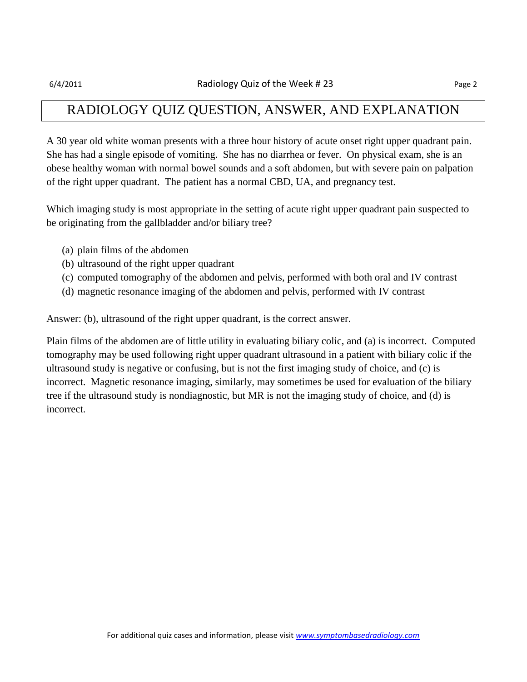## RADIOLOGY QUIZ QUESTION, ANSWER, AND EXPLANATION

A 30 year old white woman presents with a three hour history of acute onset right upper quadrant pain. She has had a single episode of vomiting. She has no diarrhea or fever. On physical exam, she is an obese healthy woman with normal bowel sounds and a soft abdomen, but with severe pain on palpation of the right upper quadrant. The patient has a normal CBD, UA, and pregnancy test.

Which imaging study is most appropriate in the setting of acute right upper quadrant pain suspected to be originating from the gallbladder and/or biliary tree?

- (a) plain films of the abdomen
- (b) ultrasound of the right upper quadrant
- (c) computed tomography of the abdomen and pelvis, performed with both oral and IV contrast
- (d) magnetic resonance imaging of the abdomen and pelvis, performed with IV contrast

Answer: (b), ultrasound of the right upper quadrant, is the correct answer.

Plain films of the abdomen are of little utility in evaluating biliary colic, and (a) is incorrect. Computed tomography may be used following right upper quadrant ultrasound in a patient with biliary colic if the ultrasound study is negative or confusing, but is not the first imaging study of choice, and (c) is incorrect. Magnetic resonance imaging, similarly, may sometimes be used for evaluation of the biliary tree if the ultrasound study is nondiagnostic, but MR is not the imaging study of choice, and (d) is incorrect.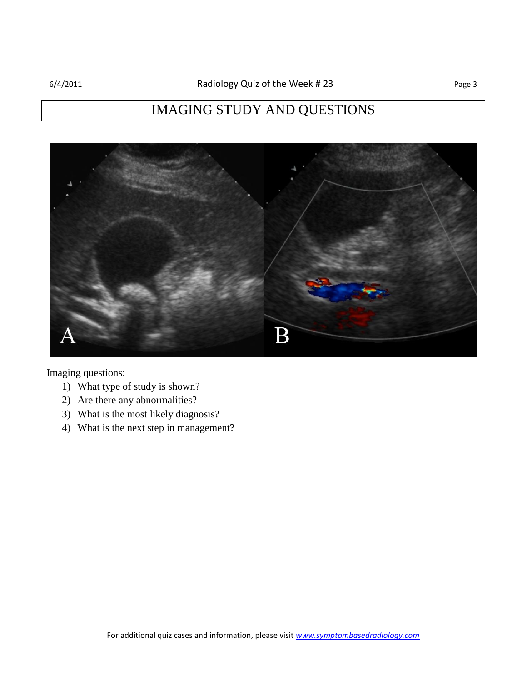# IMAGING STUDY AND QUESTIONS



Imaging questions:

- 1) What type of study is shown?
- 2) Are there any abnormalities?
- 3) What is the most likely diagnosis?
- 4) What is the next step in management?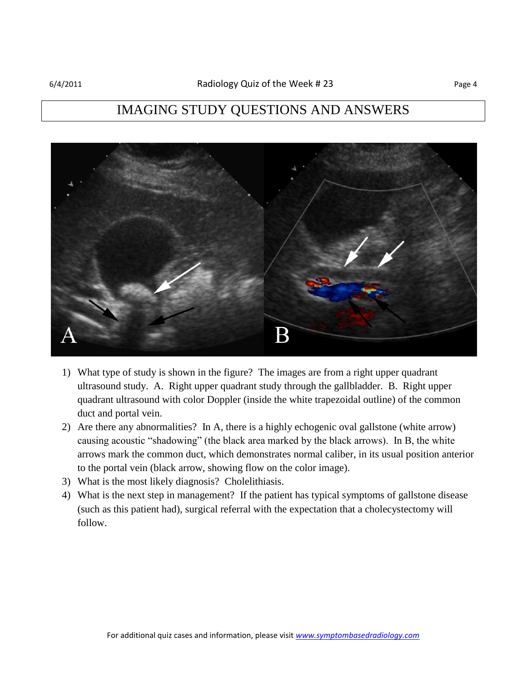## IMAGING STUDY QUESTIONS AND ANSWERS



- 1) What type of study is shown in the figure? The images are from a right upper quadrant ultrasound study. A. Right upper quadrant study through the gallbladder. B. Right upper quadrant ultrasound with color Doppler (inside the white trapezoidal outline) of the common duct and portal vein.
- 2) Are there any abnormalities? In A, there is a highly echogenic oval gallstone (white arrow) causing acoustic "shadowing" (the black area marked by the black arrows). In B, the white arrows mark the common duct, which demonstrates normal caliber, in its usual position anterior to the portal vein (black arrow, showing flow on the color image).
- 3) What is the most likely diagnosis? Cholelithiasis.
- 4) What is the next step in management? If the patient has typical symptoms of gallstone disease (such as this patient had), surgical referral with the expectation that a cholecystectomy will follow.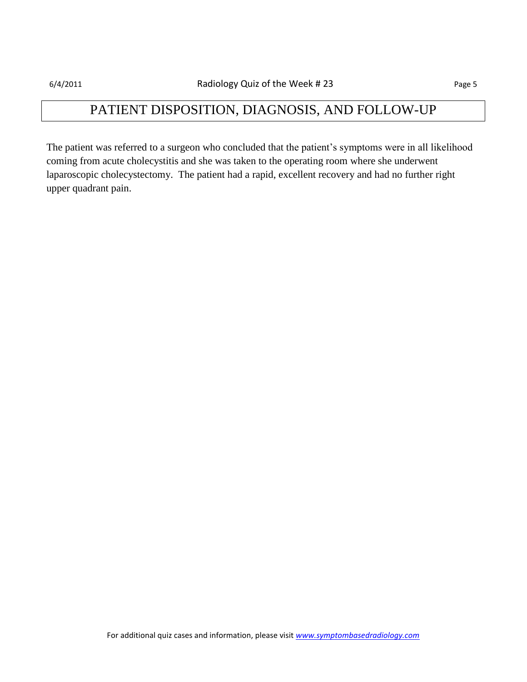## PATIENT DISPOSITION, DIAGNOSIS, AND FOLLOW-UP

The patient was referred to a surgeon who concluded that the patient's symptoms were in all likelihood coming from acute cholecystitis and she was taken to the operating room where she underwent laparoscopic cholecystectomy. The patient had a rapid, excellent recovery and had no further right upper quadrant pain.